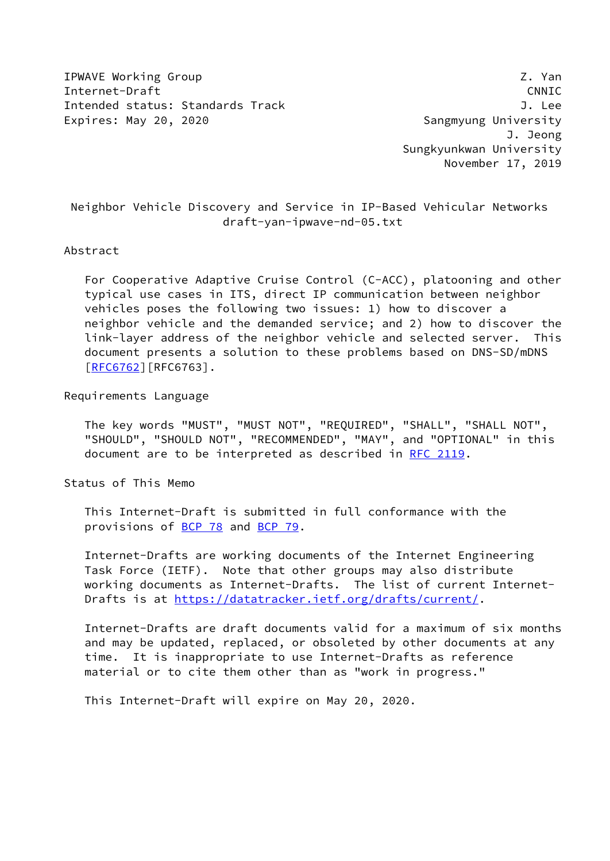IPWAVE Working Group **Z. Yan** Internet-Draft CNNIC Intended status: Standards Track J. Lee Expires: May 20, 2020 **Sangmyung University** 

 J. Jeong Sungkyunkwan University November 17, 2019

 Neighbor Vehicle Discovery and Service in IP-Based Vehicular Networks draft-yan-ipwave-nd-05.txt

#### Abstract

 For Cooperative Adaptive Cruise Control (C-ACC), platooning and other typical use cases in ITS, direct IP communication between neighbor vehicles poses the following two issues: 1) how to discover a neighbor vehicle and the demanded service; and 2) how to discover the link-layer address of the neighbor vehicle and selected server. This document presents a solution to these problems based on DNS-SD/mDNS [\[RFC6762](https://datatracker.ietf.org/doc/pdf/rfc6762)][RFC6763].

Requirements Language

 The key words "MUST", "MUST NOT", "REQUIRED", "SHALL", "SHALL NOT", "SHOULD", "SHOULD NOT", "RECOMMENDED", "MAY", and "OPTIONAL" in this document are to be interpreted as described in [RFC 2119.](https://datatracker.ietf.org/doc/pdf/rfc2119)

Status of This Memo

 This Internet-Draft is submitted in full conformance with the provisions of [BCP 78](https://datatracker.ietf.org/doc/pdf/bcp78) and [BCP 79](https://datatracker.ietf.org/doc/pdf/bcp79).

 Internet-Drafts are working documents of the Internet Engineering Task Force (IETF). Note that other groups may also distribute working documents as Internet-Drafts. The list of current Internet- Drafts is at<https://datatracker.ietf.org/drafts/current/>.

 Internet-Drafts are draft documents valid for a maximum of six months and may be updated, replaced, or obsoleted by other documents at any time. It is inappropriate to use Internet-Drafts as reference material or to cite them other than as "work in progress."

This Internet-Draft will expire on May 20, 2020.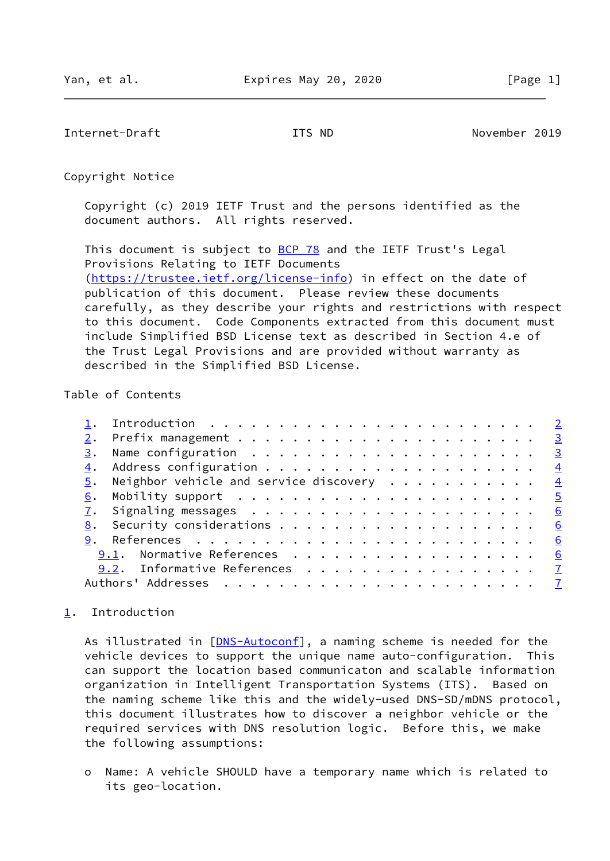<span id="page-1-1"></span>Internet-Draft ITS ND November 2019

Copyright Notice

 Copyright (c) 2019 IETF Trust and the persons identified as the document authors. All rights reserved.

This document is subject to **[BCP 78](https://datatracker.ietf.org/doc/pdf/bcp78)** and the IETF Trust's Legal Provisions Relating to IETF Documents [\(https://trustee.ietf.org/license-info](https://trustee.ietf.org/license-info)) in effect on the date of publication of this document. Please review these documents carefully, as they describe your rights and restrictions with respect to this document. Code Components extracted from this document must include Simplified BSD License text as described in Section 4.e of the Trust Legal Provisions and are provided without warranty as described in the Simplified BSD License.

## Table of Contents

|  | $\underline{5}$ . Neighbor vehicle and service discovery 4 |   |
|--|------------------------------------------------------------|---|
|  |                                                            |   |
|  |                                                            |   |
|  |                                                            |   |
|  |                                                            | 6 |
|  | 9.1. Normative References                                  | 6 |
|  | 9.2. Informative References 7                              |   |
|  |                                                            |   |
|  |                                                            |   |

# <span id="page-1-0"></span>[1](#page-1-0). Introduction

As illustrated in [[DNS-Autoconf\]](#page-7-1), a naming scheme is needed for the vehicle devices to support the unique name auto-configuration. This can support the location based communicaton and scalable information organization in Intelligent Transportation Systems (ITS). Based on the naming scheme like this and the widely-used DNS-SD/mDNS protocol, this document illustrates how to discover a neighbor vehicle or the required services with DNS resolution logic. Before this, we make the following assumptions:

 o Name: A vehicle SHOULD have a temporary name which is related to its geo-location.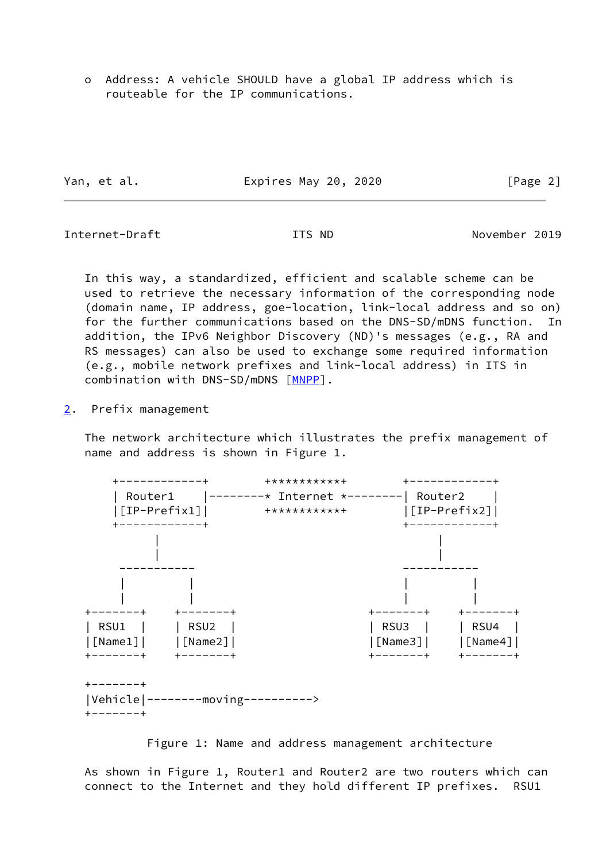o Address: A vehicle SHOULD have a global IP address which is routeable for the IP communications.

Yan, et al. **Expires May 20, 2020** [Page 2]

<span id="page-2-1"></span>Internet-Draft ITS ND November 2019

 In this way, a standardized, efficient and scalable scheme can be used to retrieve the necessary information of the corresponding node (domain name, IP address, goe-location, link-local address and so on) for the further communications based on the DNS-SD/mDNS function. In addition, the IPv6 Neighbor Discovery (ND)'s messages (e.g., RA and RS messages) can also be used to exchange some required information (e.g., mobile network prefixes and link-local address) in ITS in combination with DNS-SD/mDNS [\[MNPP](#page-7-2)].

<span id="page-2-0"></span>[2](#page-2-0). Prefix management

 The network architecture which illustrates the prefix management of name and address is shown in Figure 1.



Figure 1: Name and address management architecture

 As shown in Figure 1, Router1 and Router2 are two routers which can connect to the Internet and they hold different IP prefixes. RSU1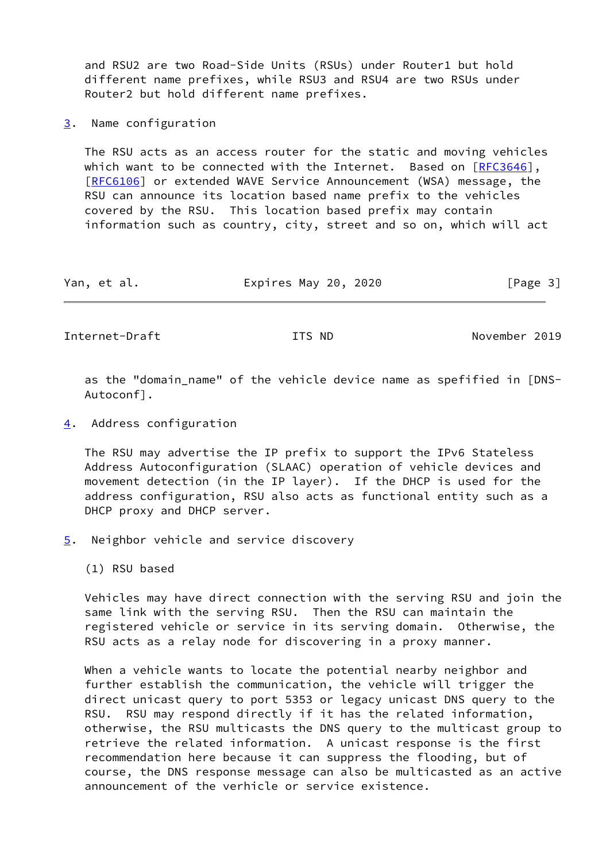and RSU2 are two Road-Side Units (RSUs) under Router1 but hold different name prefixes, while RSU3 and RSU4 are two RSUs under Router2 but hold different name prefixes.

<span id="page-3-0"></span>[3](#page-3-0). Name configuration

 The RSU acts as an access router for the static and moving vehicles which want to be connected with the Internet. Based on [\[RFC3646](https://datatracker.ietf.org/doc/pdf/rfc3646)], [\[RFC6106](https://datatracker.ietf.org/doc/pdf/rfc6106)] or extended WAVE Service Announcement (WSA) message, the RSU can announce its location based name prefix to the vehicles covered by the RSU. This location based prefix may contain information such as country, city, street and so on, which will act

| Yan, et al. | Expires May 20, 2020 |  | [Page 3] |
|-------------|----------------------|--|----------|
|-------------|----------------------|--|----------|

<span id="page-3-2"></span>Internet-Draft TTS ND ITS ND November 2019

 as the "domain\_name" of the vehicle device name as spefified in [DNS- Autoconf].

<span id="page-3-1"></span>[4](#page-3-1). Address configuration

 The RSU may advertise the IP prefix to support the IPv6 Stateless Address Autoconfiguration (SLAAC) operation of vehicle devices and movement detection (in the IP layer). If the DHCP is used for the address configuration, RSU also acts as functional entity such as a DHCP proxy and DHCP server.

<span id="page-3-3"></span>[5](#page-3-3). Neighbor vehicle and service discovery

(1) RSU based

 Vehicles may have direct connection with the serving RSU and join the same link with the serving RSU. Then the RSU can maintain the registered vehicle or service in its serving domain. Otherwise, the RSU acts as a relay node for discovering in a proxy manner.

 When a vehicle wants to locate the potential nearby neighbor and further establish the communication, the vehicle will trigger the direct unicast query to port 5353 or legacy unicast DNS query to the RSU. RSU may respond directly if it has the related information, otherwise, the RSU multicasts the DNS query to the multicast group to retrieve the related information. A unicast response is the first recommendation here because it can suppress the flooding, but of course, the DNS response message can also be multicasted as an active announcement of the verhicle or service existence.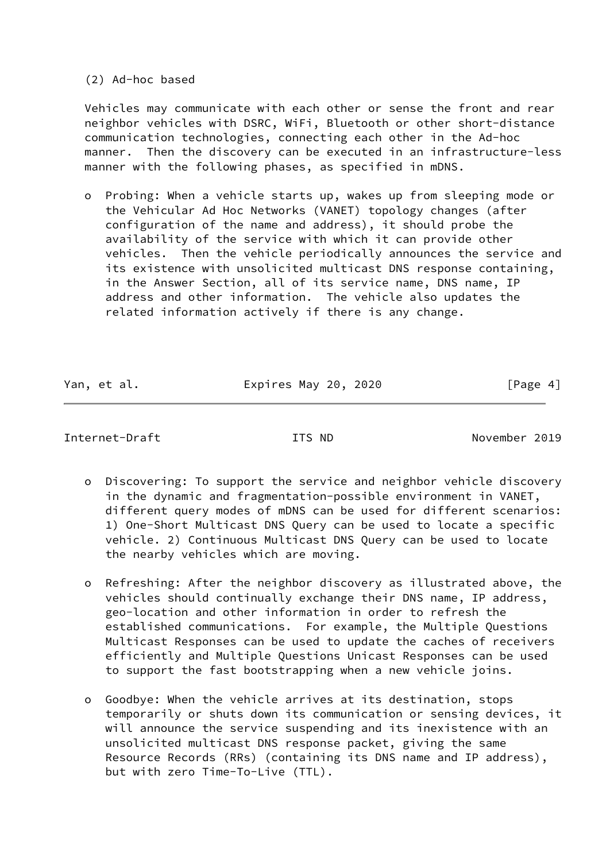(2) Ad-hoc based

 Vehicles may communicate with each other or sense the front and rear neighbor vehicles with DSRC, WiFi, Bluetooth or other short-distance communication technologies, connecting each other in the Ad-hoc manner. Then the discovery can be executed in an infrastructure-less manner with the following phases, as specified in mDNS.

 o Probing: When a vehicle starts up, wakes up from sleeping mode or the Vehicular Ad Hoc Networks (VANET) topology changes (after configuration of the name and address), it should probe the availability of the service with which it can provide other vehicles. Then the vehicle periodically announces the service and its existence with unsolicited multicast DNS response containing, in the Answer Section, all of its service name, DNS name, IP address and other information. The vehicle also updates the related information actively if there is any change.

Yan, et al. **Expires May 20, 2020** [Page 4]

### <span id="page-4-0"></span>Internet-Draft ITS ND November 2019

- o Discovering: To support the service and neighbor vehicle discovery in the dynamic and fragmentation-possible environment in VANET, different query modes of mDNS can be used for different scenarios: 1) One-Short Multicast DNS Query can be used to locate a specific vehicle. 2) Continuous Multicast DNS Query can be used to locate the nearby vehicles which are moving.
- o Refreshing: After the neighbor discovery as illustrated above, the vehicles should continually exchange their DNS name, IP address, geo-location and other information in order to refresh the established communications. For example, the Multiple Questions Multicast Responses can be used to update the caches of receivers efficiently and Multiple Questions Unicast Responses can be used to support the fast bootstrapping when a new vehicle joins.
- o Goodbye: When the vehicle arrives at its destination, stops temporarily or shuts down its communication or sensing devices, it will announce the service suspending and its inexistence with an unsolicited multicast DNS response packet, giving the same Resource Records (RRs) (containing its DNS name and IP address), but with zero Time-To-Live (TTL).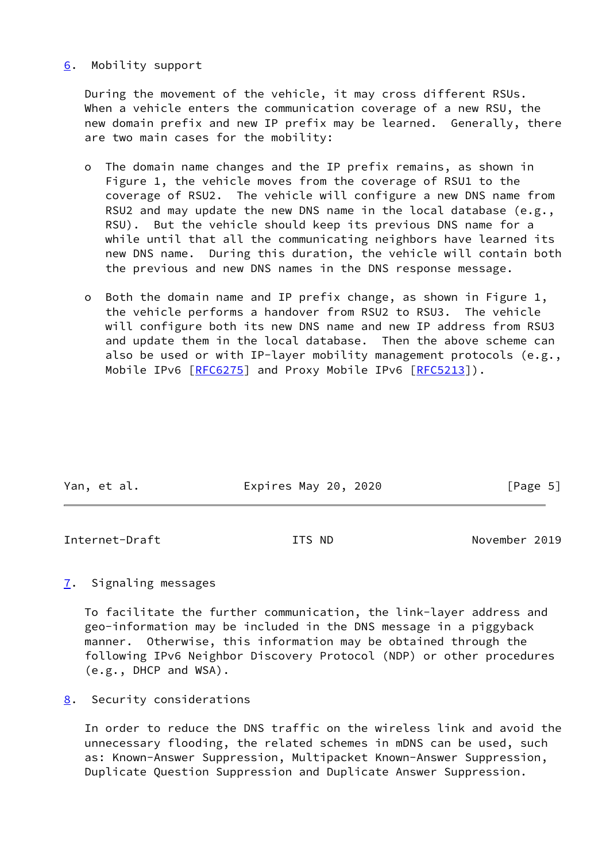## <span id="page-5-0"></span>[6](#page-5-0). Mobility support

 During the movement of the vehicle, it may cross different RSUs. When a vehicle enters the communication coverage of a new RSU, the new domain prefix and new IP prefix may be learned. Generally, there are two main cases for the mobility:

- o The domain name changes and the IP prefix remains, as shown in Figure 1, the vehicle moves from the coverage of RSU1 to the coverage of RSU2. The vehicle will configure a new DNS name from RSU2 and may update the new DNS name in the local database (e.g., RSU). But the vehicle should keep its previous DNS name for a while until that all the communicating neighbors have learned its new DNS name. During this duration, the vehicle will contain both the previous and new DNS names in the DNS response message.
- o Both the domain name and IP prefix change, as shown in Figure 1, the vehicle performs a handover from RSU2 to RSU3. The vehicle will configure both its new DNS name and new IP address from RSU3 and update them in the local database. Then the above scheme can also be used or with IP-layer mobility management protocols (e.g., Mobile IPv6 [\[RFC6275](https://datatracker.ietf.org/doc/pdf/rfc6275)] and Proxy Mobile IPv6 [\[RFC5213](https://datatracker.ietf.org/doc/pdf/rfc5213)]).

| Yan, et al. | Expires May 20, 2020 | [Page 5] |
|-------------|----------------------|----------|
|             |                      |          |

<span id="page-5-2"></span>Internet-Draft ITS ND November 2019

<span id="page-5-1"></span>[7](#page-5-1). Signaling messages

 To facilitate the further communication, the link-layer address and geo-information may be included in the DNS message in a piggyback manner. Otherwise, this information may be obtained through the following IPv6 Neighbor Discovery Protocol (NDP) or other procedures (e.g., DHCP and WSA).

<span id="page-5-3"></span>[8](#page-5-3). Security considerations

 In order to reduce the DNS traffic on the wireless link and avoid the unnecessary flooding, the related schemes in mDNS can be used, such as: Known-Answer Suppression, Multipacket Known-Answer Suppression, Duplicate Question Suppression and Duplicate Answer Suppression.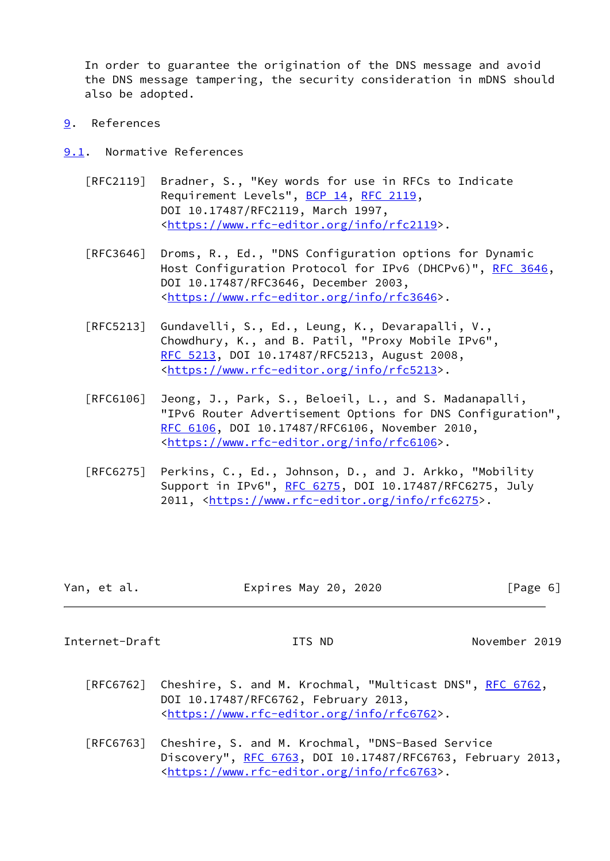In order to guarantee the origination of the DNS message and avoid the DNS message tampering, the security consideration in mDNS should also be adopted.

- <span id="page-6-0"></span>[9](#page-6-0). References
- <span id="page-6-1"></span>[9.1](#page-6-1). Normative References
	- [RFC2119] Bradner, S., "Key words for use in RFCs to Indicate Requirement Levels", [BCP 14](https://datatracker.ietf.org/doc/pdf/bcp14), [RFC 2119](https://datatracker.ietf.org/doc/pdf/rfc2119), DOI 10.17487/RFC2119, March 1997, <[https://www.rfc-editor.org/info/rfc2119>](https://www.rfc-editor.org/info/rfc2119).
	- [RFC3646] Droms, R., Ed., "DNS Configuration options for Dynamic Host Configuration Protocol for IPv6 (DHCPv6)", [RFC 3646,](https://datatracker.ietf.org/doc/pdf/rfc3646) DOI 10.17487/RFC3646, December 2003, <[https://www.rfc-editor.org/info/rfc3646>](https://www.rfc-editor.org/info/rfc3646).
	- [RFC5213] Gundavelli, S., Ed., Leung, K., Devarapalli, V., Chowdhury, K., and B. Patil, "Proxy Mobile IPv6", [RFC 5213,](https://datatracker.ietf.org/doc/pdf/rfc5213) DOI 10.17487/RFC5213, August 2008, <[https://www.rfc-editor.org/info/rfc5213>](https://www.rfc-editor.org/info/rfc5213).
	- [RFC6106] Jeong, J., Park, S., Beloeil, L., and S. Madanapalli, "IPv6 Router Advertisement Options for DNS Configuration", [RFC 6106,](https://datatracker.ietf.org/doc/pdf/rfc6106) DOI 10.17487/RFC6106, November 2010, <[https://www.rfc-editor.org/info/rfc6106>](https://www.rfc-editor.org/info/rfc6106).
	- [RFC6275] Perkins, C., Ed., Johnson, D., and J. Arkko, "Mobility Support in IPv6", [RFC 6275](https://datatracker.ietf.org/doc/pdf/rfc6275), DOI 10.17487/RFC6275, July 2011, [<https://www.rfc-editor.org/info/rfc6275](https://www.rfc-editor.org/info/rfc6275)>.

| Yan, et al. | Expires May 20, 2020 | [Page 6] |
|-------------|----------------------|----------|
|             |                      |          |

<span id="page-6-2"></span>Internet-Draft ITS ND November 2019

- [RFC6762] Cheshire, S. and M. Krochmal, "Multicast DNS", [RFC 6762](https://datatracker.ietf.org/doc/pdf/rfc6762), DOI 10.17487/RFC6762, February 2013, <[https://www.rfc-editor.org/info/rfc6762>](https://www.rfc-editor.org/info/rfc6762).
- [RFC6763] Cheshire, S. and M. Krochmal, "DNS-Based Service Discovery", [RFC 6763,](https://datatracker.ietf.org/doc/pdf/rfc6763) DOI 10.17487/RFC6763, February 2013, <[https://www.rfc-editor.org/info/rfc6763>](https://www.rfc-editor.org/info/rfc6763).